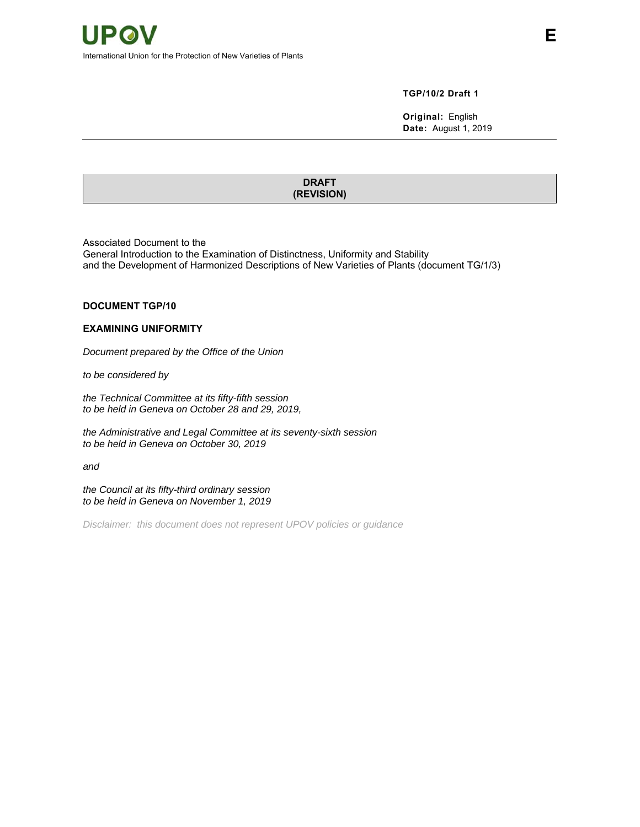#### **TGP/10/2 Draft 1**

**Original:** English **Date:** August 1, 2019

**DRAFT (REVISION)**

Associated Document to the

General Introduction to the Examination of Distinctness, Uniformity and Stability and the Development of Harmonized Descriptions of New Varieties of Plants (document TG/1/3)

#### **DOCUMENT TGP/10**

#### **EXAMINING UNIFORMITY**

*Document prepared by the Office of the Union* 

*to be considered by* 

*the Technical Committee at its fifty-fifth session to be held in Geneva on October 28 and 29, 2019,* 

*the Administrative and Legal Committee at its seventy-sixth session to be held in Geneva on October 30, 2019* 

*and* 

*the Council at its fifty-third ordinary session to be held in Geneva on November 1, 2019* 

*Disclaimer: this document does not represent UPOV policies or guidance*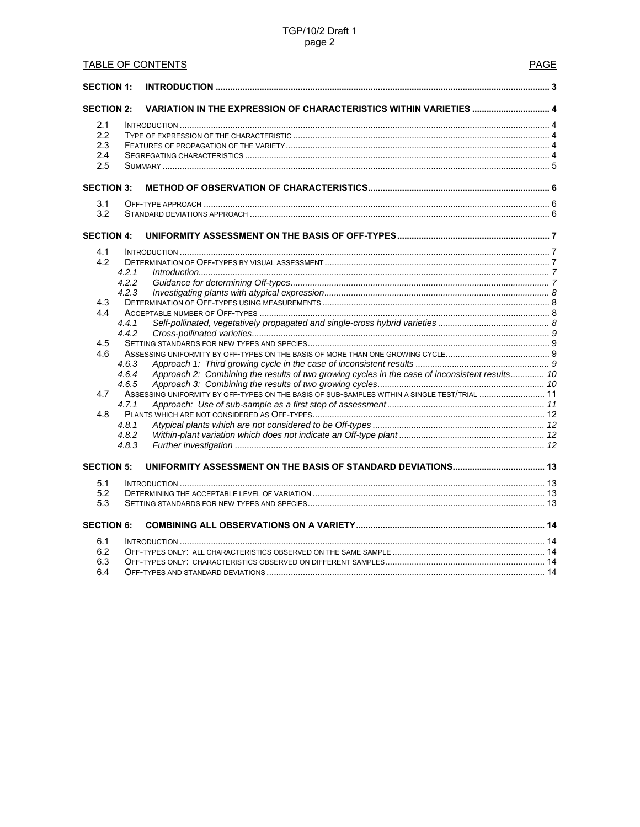# TGP/10/2 Draft 1 page 2

| <b>TABLE OF CONTENTS</b><br><b>PAGE</b> |                |                                                                                                |  |  |  |  |
|-----------------------------------------|----------------|------------------------------------------------------------------------------------------------|--|--|--|--|
| <b>SECTION 1:</b>                       |                |                                                                                                |  |  |  |  |
| <b>SECTION 2:</b>                       |                | <b>VARIATION IN THE EXPRESSION OF CHARACTERISTICS WITHIN VARIETIES  4</b>                      |  |  |  |  |
| 2.1                                     |                |                                                                                                |  |  |  |  |
| 2.2                                     |                |                                                                                                |  |  |  |  |
| 2.3                                     |                |                                                                                                |  |  |  |  |
| 2.4                                     |                |                                                                                                |  |  |  |  |
| 2.5                                     |                |                                                                                                |  |  |  |  |
| <b>SECTION 3:</b>                       |                |                                                                                                |  |  |  |  |
| 3.1                                     |                |                                                                                                |  |  |  |  |
| 3.2                                     |                |                                                                                                |  |  |  |  |
| <b>SECTION 4:</b>                       |                |                                                                                                |  |  |  |  |
| 4.1                                     |                |                                                                                                |  |  |  |  |
| 4.2                                     |                |                                                                                                |  |  |  |  |
|                                         | 4.2.1          |                                                                                                |  |  |  |  |
|                                         | 4.2.2          |                                                                                                |  |  |  |  |
|                                         | 4.2.3          |                                                                                                |  |  |  |  |
| 4.3                                     |                |                                                                                                |  |  |  |  |
| 44                                      |                |                                                                                                |  |  |  |  |
|                                         | 4.4.1          |                                                                                                |  |  |  |  |
|                                         | 4.4.2          |                                                                                                |  |  |  |  |
| 4.5                                     |                |                                                                                                |  |  |  |  |
| 4.6                                     |                |                                                                                                |  |  |  |  |
|                                         | 4.6.3          |                                                                                                |  |  |  |  |
|                                         | 4.6.4          | Approach 2: Combining the results of two growing cycles in the case of inconsistent results 10 |  |  |  |  |
|                                         | 4.6.5          |                                                                                                |  |  |  |  |
| 4.7                                     |                | ASSESSING UNIFORMITY BY OFF-TYPES ON THE BASIS OF SUB-SAMPLES WITHIN A SINGLE TEST/TRIAL  11   |  |  |  |  |
|                                         | 4.7.1          |                                                                                                |  |  |  |  |
| 4.8                                     |                |                                                                                                |  |  |  |  |
|                                         | 4.8.1          |                                                                                                |  |  |  |  |
|                                         | 4.8.2<br>4.8.3 |                                                                                                |  |  |  |  |
| <b>SECTION 5:</b>                       |                |                                                                                                |  |  |  |  |
|                                         |                |                                                                                                |  |  |  |  |
| 5.1                                     |                |                                                                                                |  |  |  |  |
| 5.2                                     |                |                                                                                                |  |  |  |  |
| 5.3                                     |                |                                                                                                |  |  |  |  |
| <b>SECTION 6:</b>                       |                |                                                                                                |  |  |  |  |
| 6.1                                     |                |                                                                                                |  |  |  |  |
| 6.2                                     |                |                                                                                                |  |  |  |  |
| 6.3                                     |                |                                                                                                |  |  |  |  |
| 6.4                                     |                |                                                                                                |  |  |  |  |
|                                         |                |                                                                                                |  |  |  |  |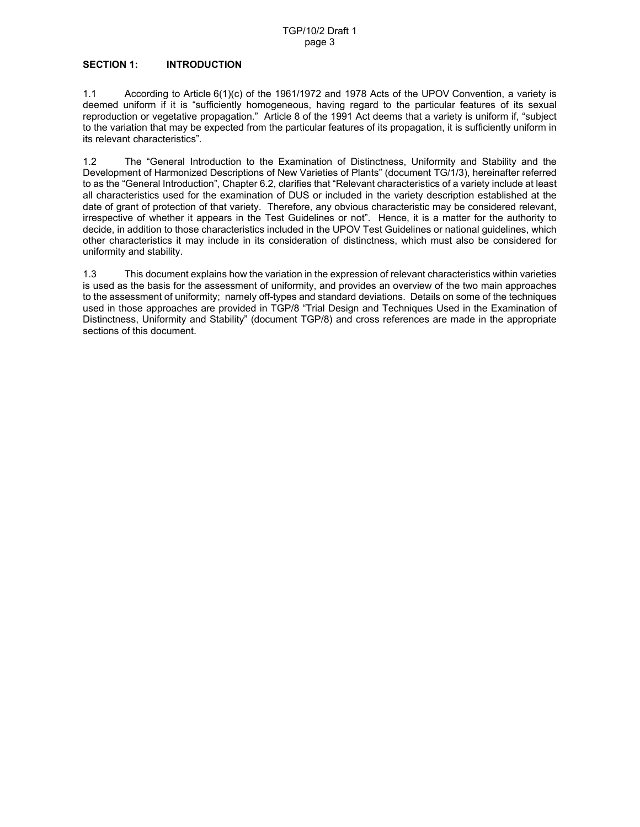## **SECTION 1: INTRODUCTION**

1.1 According to Article 6(1)(c) of the 1961/1972 and 1978 Acts of the UPOV Convention, a variety is deemed uniform if it is "sufficiently homogeneous, having regard to the particular features of its sexual reproduction or vegetative propagation." Article 8 of the 1991 Act deems that a variety is uniform if, "subject to the variation that may be expected from the particular features of its propagation, it is sufficiently uniform in its relevant characteristics".

1.2 The "General Introduction to the Examination of Distinctness, Uniformity and Stability and the Development of Harmonized Descriptions of New Varieties of Plants" (document TG/1/3), hereinafter referred to as the "General Introduction", Chapter 6.2, clarifies that "Relevant characteristics of a variety include at least all characteristics used for the examination of DUS or included in the variety description established at the date of grant of protection of that variety. Therefore, any obvious characteristic may be considered relevant, irrespective of whether it appears in the Test Guidelines or not". Hence, it is a matter for the authority to decide, in addition to those characteristics included in the UPOV Test Guidelines or national guidelines, which other characteristics it may include in its consideration of distinctness, which must also be considered for uniformity and stability.

1.3 This document explains how the variation in the expression of relevant characteristics within varieties is used as the basis for the assessment of uniformity, and provides an overview of the two main approaches to the assessment of uniformity; namely off-types and standard deviations. Details on some of the techniques used in those approaches are provided in TGP/8 "Trial Design and Techniques Used in the Examination of Distinctness, Uniformity and Stability" (document TGP/8) and cross references are made in the appropriate sections of this document.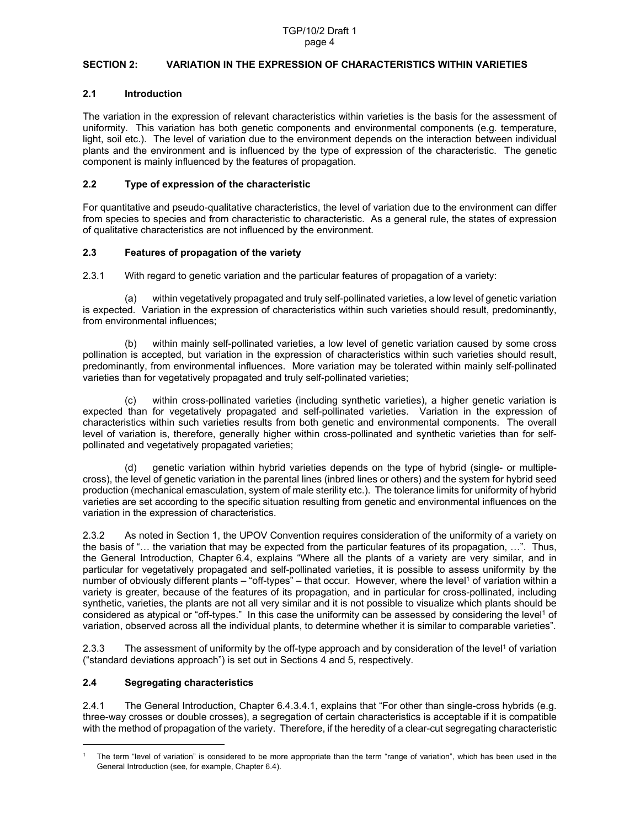# **SECTION 2: VARIATION IN THE EXPRESSION OF CHARACTERISTICS WITHIN VARIETIES**

# **2.1 Introduction**

The variation in the expression of relevant characteristics within varieties is the basis for the assessment of uniformity. This variation has both genetic components and environmental components (e.g. temperature, light, soil etc.). The level of variation due to the environment depends on the interaction between individual plants and the environment and is influenced by the type of expression of the characteristic. The genetic component is mainly influenced by the features of propagation.

# **2.2 Type of expression of the characteristic**

For quantitative and pseudo-qualitative characteristics, the level of variation due to the environment can differ from species to species and from characteristic to characteristic. As a general rule, the states of expression of qualitative characteristics are not influenced by the environment.

# **2.3 Features of propagation of the variety**

2.3.1 With regard to genetic variation and the particular features of propagation of a variety:

(a) within vegetatively propagated and truly self-pollinated varieties, a low level of genetic variation is expected. Variation in the expression of characteristics within such varieties should result, predominantly, from environmental influences;

(b) within mainly self-pollinated varieties, a low level of genetic variation caused by some cross pollination is accepted, but variation in the expression of characteristics within such varieties should result, predominantly, from environmental influences. More variation may be tolerated within mainly self-pollinated varieties than for vegetatively propagated and truly self-pollinated varieties;

(c) within cross-pollinated varieties (including synthetic varieties), a higher genetic variation is expected than for vegetatively propagated and self-pollinated varieties. Variation in the expression of characteristics within such varieties results from both genetic and environmental components. The overall level of variation is, therefore, generally higher within cross-pollinated and synthetic varieties than for selfpollinated and vegetatively propagated varieties;

(d) genetic variation within hybrid varieties depends on the type of hybrid (single- or multiplecross), the level of genetic variation in the parental lines (inbred lines or others) and the system for hybrid seed production (mechanical emasculation, system of male sterility etc.). The tolerance limits for uniformity of hybrid varieties are set according to the specific situation resulting from genetic and environmental influences on the variation in the expression of characteristics.

2.3.2 As noted in Section 1, the UPOV Convention requires consideration of the uniformity of a variety on the basis of "… the variation that may be expected from the particular features of its propagation, …". Thus, the General Introduction, Chapter 6.4, explains "Where all the plants of a variety are very similar, and in particular for vegetatively propagated and self-pollinated varieties, it is possible to assess uniformity by the number of obviously different plants – "off-types" – that occur. However, where the level<sup>1</sup> of variation within a variety is greater, because of the features of its propagation, and in particular for cross-pollinated, including synthetic, varieties, the plants are not all very similar and it is not possible to visualize which plants should be considered as atypical or "off-types." In this case the uniformity can be assessed by considering the level<sup>1</sup> of variation, observed across all the individual plants, to determine whether it is similar to comparable varieties".

2.3.3 The assessment of uniformity by the off-type approach and by consideration of the level<sup>1</sup> of variation ("standard deviations approach") is set out in Sections 4 and 5, respectively.

# **2.4 Segregating characteristics**

 $\overline{a}$ 

2.4.1 The General Introduction, Chapter 6.4.3.4.1, explains that "For other than single-cross hybrids (e.g. three-way crosses or double crosses), a segregation of certain characteristics is acceptable if it is compatible with the method of propagation of the variety. Therefore, if the heredity of a clear-cut segregating characteristic

<sup>1</sup> The term "level of variation" is considered to be more appropriate than the term "range of variation", which has been used in the General Introduction (see, for example, Chapter 6.4).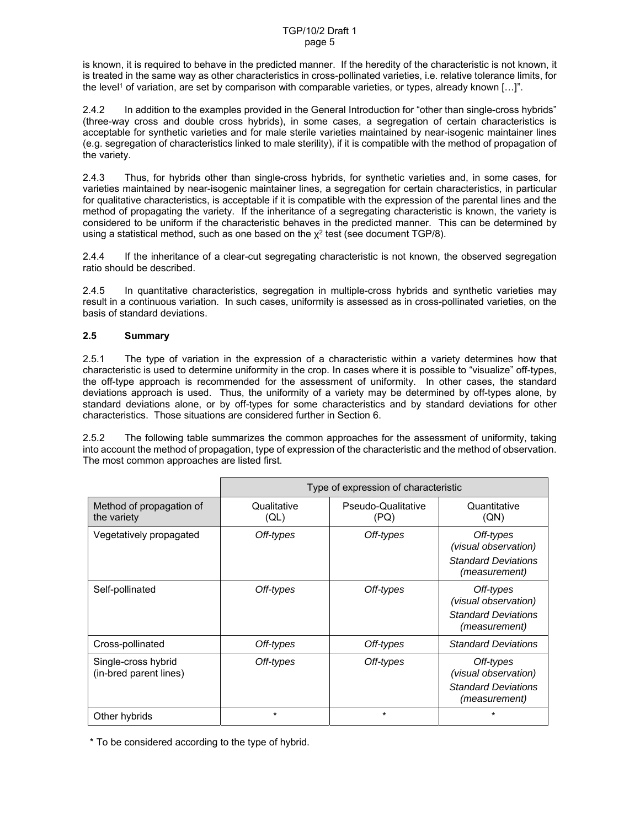is known, it is required to behave in the predicted manner. If the heredity of the characteristic is not known, it is treated in the same way as other characteristics in cross-pollinated varieties, i.e. relative tolerance limits, for the level<sup>1</sup> of variation, are set by comparison with comparable varieties, or types, already known [...]".

2.4.2 In addition to the examples provided in the General Introduction for "other than single-cross hybrids" (three-way cross and double cross hybrids), in some cases, a segregation of certain characteristics is acceptable for synthetic varieties and for male sterile varieties maintained by near-isogenic maintainer lines (e.g. segregation of characteristics linked to male sterility), if it is compatible with the method of propagation of the variety.

2.4.3 Thus, for hybrids other than single-cross hybrids, for synthetic varieties and, in some cases, for varieties maintained by near-isogenic maintainer lines, a segregation for certain characteristics, in particular for qualitative characteristics, is acceptable if it is compatible with the expression of the parental lines and the method of propagating the variety. If the inheritance of a segregating characteristic is known, the variety is considered to be uniform if the characteristic behaves in the predicted manner. This can be determined by using a statistical method, such as one based on the  $x^2$  test (see document TGP/8).

2.4.4 If the inheritance of a clear-cut segregating characteristic is not known, the observed segregation ratio should be described.

2.4.5 In quantitative characteristics, segregation in multiple-cross hybrids and synthetic varieties may result in a continuous variation. In such cases, uniformity is assessed as in cross-pollinated varieties, on the basis of standard deviations.

# **2.5 Summary**

2.5.1 The type of variation in the expression of a characteristic within a variety determines how that characteristic is used to determine uniformity in the crop. In cases where it is possible to "visualize" off-types, the off-type approach is recommended for the assessment of uniformity. In other cases, the standard deviations approach is used. Thus, the uniformity of a variety may be determined by off-types alone, by standard deviations alone, or by off-types for some characteristics and by standard deviations for other characteristics. Those situations are considered further in Section 6.

2.5.2 The following table summarizes the common approaches for the assessment of uniformity, taking into account the method of propagation, type of expression of the characteristic and the method of observation. The most common approaches are listed first.

|                                               | Type of expression of characteristic |                            |                                                                                  |  |
|-----------------------------------------------|--------------------------------------|----------------------------|----------------------------------------------------------------------------------|--|
| Method of propagation of<br>the variety       | Qualitative<br>(QL)                  | Pseudo-Qualitative<br>(PQ) | Quantitative<br>(QN)                                                             |  |
| Vegetatively propagated                       | Off-types                            | Off-types                  | Off-types<br>(visual observation)<br><b>Standard Deviations</b><br>(measurement) |  |
| Self-pollinated                               | Off-types                            | Off-types                  | Off-types<br>(visual observation)<br><b>Standard Deviations</b><br>(measurement) |  |
| Cross-pollinated                              | Off-types                            | Off-types                  | <b>Standard Deviations</b>                                                       |  |
| Single-cross hybrid<br>(in-bred parent lines) | Off-types                            | Off-types                  | Off-types<br>(visual observation)<br><b>Standard Deviations</b><br>(measurement) |  |
| Other hybrids                                 | $^\star$                             | $^\star$                   |                                                                                  |  |

\* To be considered according to the type of hybrid.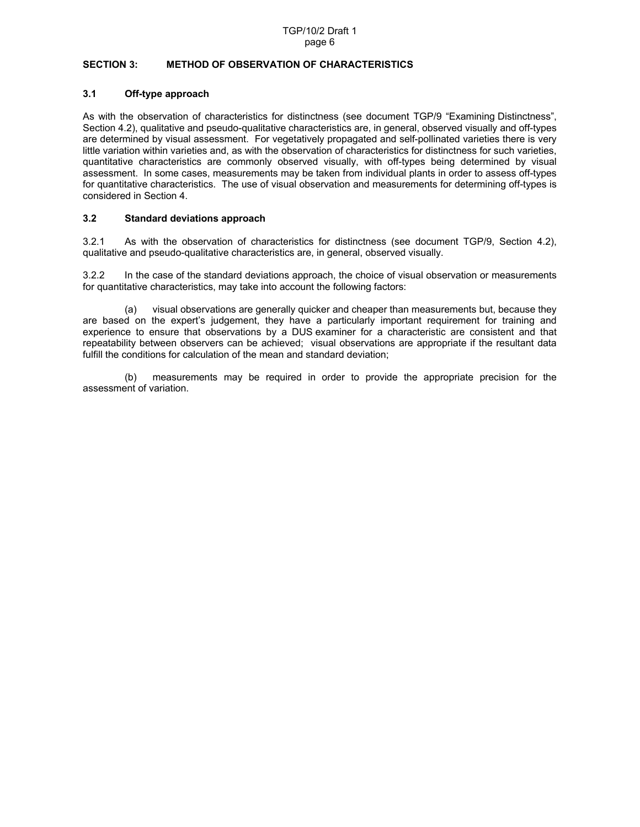#### **SECTION 3: METHOD OF OBSERVATION OF CHARACTERISTICS**

# **3.1 Off-type approach**

As with the observation of characteristics for distinctness (see document TGP/9 "Examining Distinctness", Section 4.2), qualitative and pseudo-qualitative characteristics are, in general, observed visually and off-types are determined by visual assessment. For vegetatively propagated and self-pollinated varieties there is very little variation within varieties and, as with the observation of characteristics for distinctness for such varieties, quantitative characteristics are commonly observed visually, with off-types being determined by visual assessment. In some cases, measurements may be taken from individual plants in order to assess off-types for quantitative characteristics. The use of visual observation and measurements for determining off-types is considered in Section 4.

# **3.2 Standard deviations approach**

3.2.1 As with the observation of characteristics for distinctness (see document TGP/9, Section 4.2), qualitative and pseudo-qualitative characteristics are, in general, observed visually.

3.2.2 In the case of the standard deviations approach, the choice of visual observation or measurements for quantitative characteristics, may take into account the following factors:

(a) visual observations are generally quicker and cheaper than measurements but, because they are based on the expert's judgement, they have a particularly important requirement for training and experience to ensure that observations by a DUS examiner for a characteristic are consistent and that repeatability between observers can be achieved; visual observations are appropriate if the resultant data fulfill the conditions for calculation of the mean and standard deviation;

(b) measurements may be required in order to provide the appropriate precision for the assessment of variation.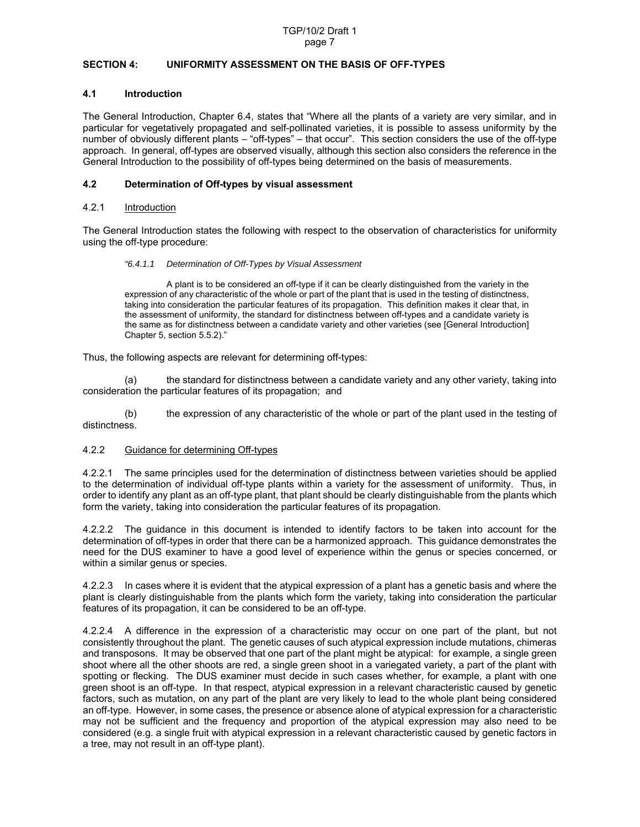#### **SECTION 4: UNIFORMITY ASSESSMENT ON THE BASIS OF OFF-TYPES**

#### **4.1 Introduction**

The General Introduction, Chapter 6.4, states that "Where all the plants of a variety are very similar, and in particular for vegetatively propagated and self-pollinated varieties, it is possible to assess uniformity by the number of obviously different plants – "off-types" – that occur". This section considers the use of the off-type approach. In general, off-types are observed visually, although this section also considers the reference in the General Introduction to the possibility of off-types being determined on the basis of measurements.

#### **4.2 Determination of Off-types by visual assessment**

## 4.2.1 Introduction

The General Introduction states the following with respect to the observation of characteristics for uniformity using the off-type procedure:

#### *"6.4.1.1 Determination of Off-Types by Visual Assessment*

 A plant is to be considered an off-type if it can be clearly distinguished from the variety in the expression of any characteristic of the whole or part of the plant that is used in the testing of distinctness, taking into consideration the particular features of its propagation. This definition makes it clear that, in the assessment of uniformity, the standard for distinctness between off-types and a candidate variety is the same as for distinctness between a candidate variety and other varieties (see [General Introduction] Chapter 5, section 5.5.2)."

Thus, the following aspects are relevant for determining off-types:

(a) the standard for distinctness between a candidate variety and any other variety, taking into consideration the particular features of its propagation; and

(b) the expression of any characteristic of the whole or part of the plant used in the testing of distinctness.

# 4.2.2 Guidance for determining Off-types

4.2.2.1 The same principles used for the determination of distinctness between varieties should be applied to the determination of individual off-type plants within a variety for the assessment of uniformity. Thus, in order to identify any plant as an off-type plant, that plant should be clearly distinguishable from the plants which form the variety, taking into consideration the particular features of its propagation.

4.2.2.2 The guidance in this document is intended to identify factors to be taken into account for the determination of off-types in order that there can be a harmonized approach. This guidance demonstrates the need for the DUS examiner to have a good level of experience within the genus or species concerned, or within a similar genus or species.

4.2.2.3 In cases where it is evident that the atypical expression of a plant has a genetic basis and where the plant is clearly distinguishable from the plants which form the variety, taking into consideration the particular features of its propagation, it can be considered to be an off-type.

4.2.2.4 A difference in the expression of a characteristic may occur on one part of the plant, but not consistently throughout the plant. The genetic causes of such atypical expression include mutations, chimeras and transposons. It may be observed that one part of the plant might be atypical: for example, a single green shoot where all the other shoots are red, a single green shoot in a variegated variety, a part of the plant with spotting or flecking. The DUS examiner must decide in such cases whether, for example, a plant with one green shoot is an off-type. In that respect, atypical expression in a relevant characteristic caused by genetic factors, such as mutation, on any part of the plant are very likely to lead to the whole plant being considered an off-type. However, in some cases, the presence or absence alone of atypical expression for a characteristic may not be sufficient and the frequency and proportion of the atypical expression may also need to be considered (e.g. a single fruit with atypical expression in a relevant characteristic caused by genetic factors in a tree, may not result in an off-type plant).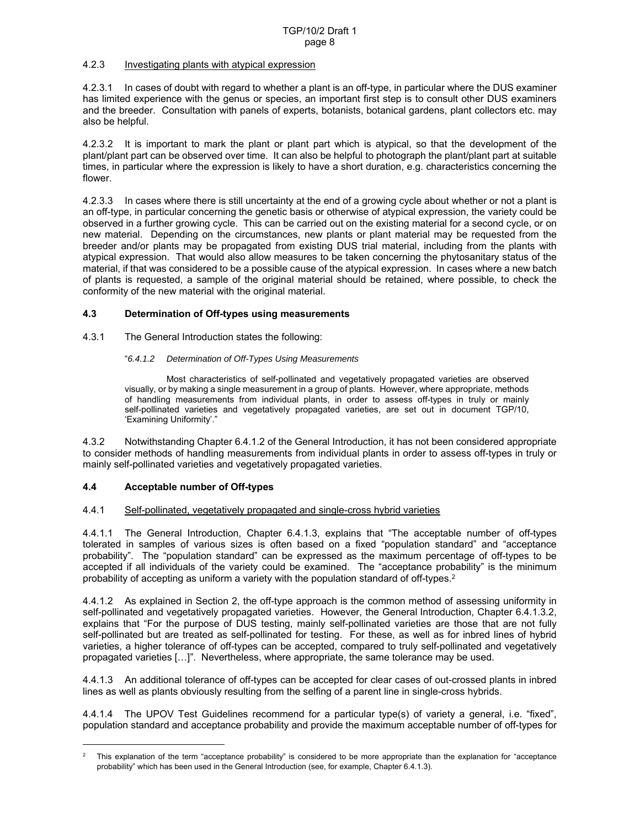# 4.2.3 Investigating plants with atypical expression

4.2.3.1 In cases of doubt with regard to whether a plant is an off-type, in particular where the DUS examiner has limited experience with the genus or species, an important first step is to consult other DUS examiners and the breeder. Consultation with panels of experts, botanists, botanical gardens, plant collectors etc. may also be helpful.

4.2.3.2 It is important to mark the plant or plant part which is atypical, so that the development of the plant/plant part can be observed over time. It can also be helpful to photograph the plant/plant part at suitable times, in particular where the expression is likely to have a short duration, e.g. characteristics concerning the flower.

4.2.3.3 In cases where there is still uncertainty at the end of a growing cycle about whether or not a plant is an off-type, in particular concerning the genetic basis or otherwise of atypical expression, the variety could be observed in a further growing cycle. This can be carried out on the existing material for a second cycle, or on new material. Depending on the circumstances, new plants or plant material may be requested from the breeder and/or plants may be propagated from existing DUS trial material, including from the plants with atypical expression. That would also allow measures to be taken concerning the phytosanitary status of the material, if that was considered to be a possible cause of the atypical expression. In cases where a new batch of plants is requested, a sample of the original material should be retained, where possible, to check the conformity of the new material with the original material.

# **4.3 Determination of Off-types using measurements**

4.3.1 The General Introduction states the following:

#### "*6.4.1.2 Determination of Off-Types Using Measurements*

 Most characteristics of self-pollinated and vegetatively propagated varieties are observed visually, or by making a single measurement in a group of plants. However, where appropriate, methods of handling measurements from individual plants, in order to assess off-types in truly or mainly self-pollinated varieties and vegetatively propagated varieties, are set out in document TGP/10, 'Examining Uniformity'."

4.3.2 Notwithstanding Chapter 6.4.1.2 of the General Introduction, it has not been considered appropriate to consider methods of handling measurements from individual plants in order to assess off-types in truly or mainly self-pollinated varieties and vegetatively propagated varieties.

#### **4.4 Acceptable number of Off-types**

 $\overline{a}$ 

#### 4.4.1 Self-pollinated, vegetatively propagated and single-cross hybrid varieties

4.4.1.1 The General Introduction, Chapter 6.4.1.3, explains that "The acceptable number of off-types tolerated in samples of various sizes is often based on a fixed "population standard" and "acceptance probability". The "population standard" can be expressed as the maximum percentage of off-types to be accepted if all individuals of the variety could be examined. The "acceptance probability" is the minimum probability of accepting as uniform a variety with the population standard of off-types.<sup>2</sup>

4.4.1.2 As explained in Section 2, the off-type approach is the common method of assessing uniformity in self-pollinated and vegetatively propagated varieties. However, the General Introduction, Chapter 6.4.1.3.2, explains that "For the purpose of DUS testing, mainly self-pollinated varieties are those that are not fully self-pollinated but are treated as self-pollinated for testing. For these, as well as for inbred lines of hybrid varieties, a higher tolerance of off-types can be accepted, compared to truly self-pollinated and vegetatively propagated varieties […]". Nevertheless, where appropriate, the same tolerance may be used.

4.4.1.3 An additional tolerance of off-types can be accepted for clear cases of out-crossed plants in inbred lines as well as plants obviously resulting from the selfing of a parent line in single-cross hybrids.

4.4.1.4 The UPOV Test Guidelines recommend for a particular type(s) of variety a general, i.e. "fixed", population standard and acceptance probability and provide the maximum acceptable number of off-types for

<sup>2</sup> This explanation of the term "acceptance probability" is considered to be more appropriate than the explanation for "acceptance probability" which has been used in the General Introduction (see, for example, Chapter 6.4.1.3).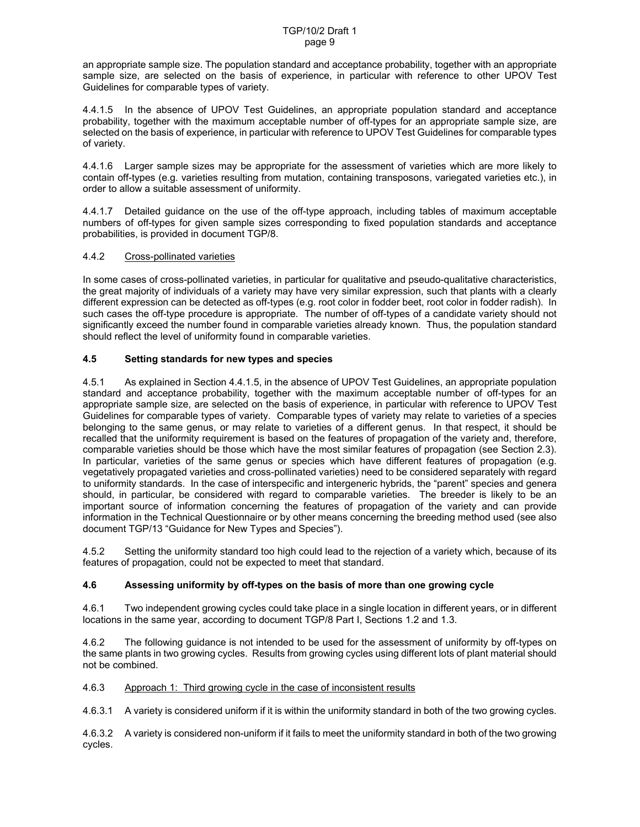an appropriate sample size. The population standard and acceptance probability, together with an appropriate sample size, are selected on the basis of experience, in particular with reference to other UPOV Test Guidelines for comparable types of variety.

4.4.1.5 In the absence of UPOV Test Guidelines, an appropriate population standard and acceptance probability, together with the maximum acceptable number of off-types for an appropriate sample size, are selected on the basis of experience, in particular with reference to UPOV Test Guidelines for comparable types of variety.

4.4.1.6 Larger sample sizes may be appropriate for the assessment of varieties which are more likely to contain off-types (e.g. varieties resulting from mutation, containing transposons, variegated varieties etc.), in order to allow a suitable assessment of uniformity.

4.4.1.7 Detailed guidance on the use of the off-type approach, including tables of maximum acceptable numbers of off-types for given sample sizes corresponding to fixed population standards and acceptance probabilities, is provided in document TGP/8.

# 4.4.2 Cross-pollinated varieties

In some cases of cross-pollinated varieties, in particular for qualitative and pseudo-qualitative characteristics, the great majority of individuals of a variety may have very similar expression, such that plants with a clearly different expression can be detected as off-types (e.g. root color in fodder beet, root color in fodder radish). In such cases the off-type procedure is appropriate. The number of off-types of a candidate variety should not significantly exceed the number found in comparable varieties already known. Thus, the population standard should reflect the level of uniformity found in comparable varieties.

# **4.5 Setting standards for new types and species**

4.5.1 As explained in Section 4.4.1.5, in the absence of UPOV Test Guidelines, an appropriate population standard and acceptance probability, together with the maximum acceptable number of off-types for an appropriate sample size, are selected on the basis of experience, in particular with reference to UPOV Test Guidelines for comparable types of variety. Comparable types of variety may relate to varieties of a species belonging to the same genus, or may relate to varieties of a different genus. In that respect, it should be recalled that the uniformity requirement is based on the features of propagation of the variety and, therefore, comparable varieties should be those which have the most similar features of propagation (see Section 2.3). In particular, varieties of the same genus or species which have different features of propagation (e.g. vegetatively propagated varieties and cross-pollinated varieties) need to be considered separately with regard to uniformity standards. In the case of interspecific and intergeneric hybrids, the "parent" species and genera should, in particular, be considered with regard to comparable varieties. The breeder is likely to be an important source of information concerning the features of propagation of the variety and can provide information in the Technical Questionnaire or by other means concerning the breeding method used (see also document TGP/13 "Guidance for New Types and Species").

4.5.2 Setting the uniformity standard too high could lead to the rejection of a variety which, because of its features of propagation, could not be expected to meet that standard.

# **4.6 Assessing uniformity by off-types on the basis of more than one growing cycle**

4.6.1 Two independent growing cycles could take place in a single location in different years, or in different locations in the same year, according to document TGP/8 Part I, Sections 1.2 and 1.3.

4.6.2 The following guidance is not intended to be used for the assessment of uniformity by off-types on the same plants in two growing cycles. Results from growing cycles using different lots of plant material should not be combined.

4.6.3 Approach 1: Third growing cycle in the case of inconsistent results

4.6.3.1 A variety is considered uniform if it is within the uniformity standard in both of the two growing cycles.

4.6.3.2 A variety is considered non-uniform if it fails to meet the uniformity standard in both of the two growing cycles.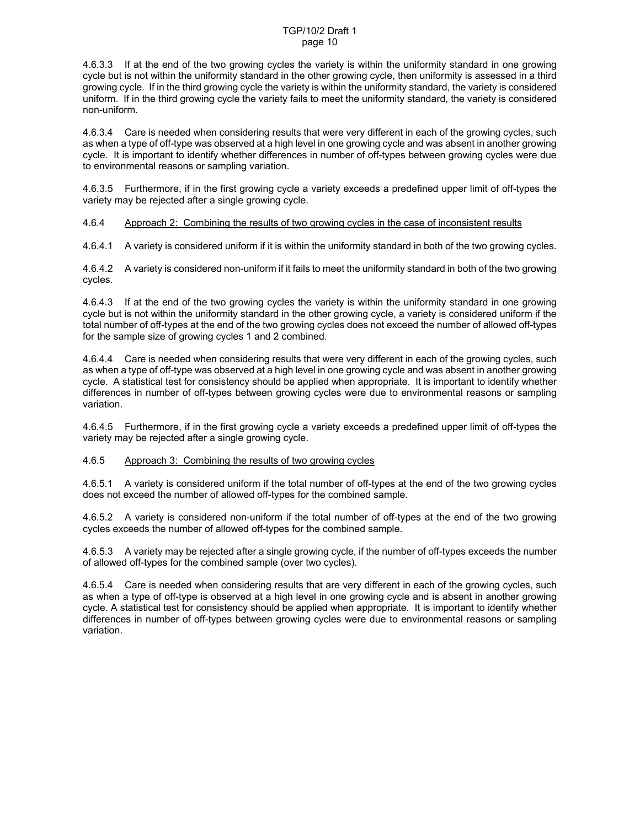#### TGP/10/2 Draft 1 page 10

4.6.3.3 If at the end of the two growing cycles the variety is within the uniformity standard in one growing cycle but is not within the uniformity standard in the other growing cycle, then uniformity is assessed in a third growing cycle. If in the third growing cycle the variety is within the uniformity standard, the variety is considered uniform. If in the third growing cycle the variety fails to meet the uniformity standard, the variety is considered non-uniform.

4.6.3.4 Care is needed when considering results that were very different in each of the growing cycles, such as when a type of off-type was observed at a high level in one growing cycle and was absent in another growing cycle. It is important to identify whether differences in number of off-types between growing cycles were due to environmental reasons or sampling variation.

4.6.3.5 Furthermore, if in the first growing cycle a variety exceeds a predefined upper limit of off-types the variety may be rejected after a single growing cycle.

#### 4.6.4 Approach 2: Combining the results of two growing cycles in the case of inconsistent results

4.6.4.1 A variety is considered uniform if it is within the uniformity standard in both of the two growing cycles.

4.6.4.2 A variety is considered non-uniform if it fails to meet the uniformity standard in both of the two growing cycles.

4.6.4.3 If at the end of the two growing cycles the variety is within the uniformity standard in one growing cycle but is not within the uniformity standard in the other growing cycle, a variety is considered uniform if the total number of off-types at the end of the two growing cycles does not exceed the number of allowed off-types for the sample size of growing cycles 1 and 2 combined.

4.6.4.4 Care is needed when considering results that were very different in each of the growing cycles, such as when a type of off-type was observed at a high level in one growing cycle and was absent in another growing cycle. A statistical test for consistency should be applied when appropriate. It is important to identify whether differences in number of off-types between growing cycles were due to environmental reasons or sampling variation.

4.6.4.5 Furthermore, if in the first growing cycle a variety exceeds a predefined upper limit of off-types the variety may be rejected after a single growing cycle.

#### 4.6.5 Approach 3: Combining the results of two growing cycles

4.6.5.1 A variety is considered uniform if the total number of off-types at the end of the two growing cycles does not exceed the number of allowed off-types for the combined sample.

4.6.5.2 A variety is considered non-uniform if the total number of off-types at the end of the two growing cycles exceeds the number of allowed off-types for the combined sample.

4.6.5.3 A variety may be rejected after a single growing cycle, if the number of off-types exceeds the number of allowed off-types for the combined sample (over two cycles).

4.6.5.4 Care is needed when considering results that are very different in each of the growing cycles, such as when a type of off-type is observed at a high level in one growing cycle and is absent in another growing cycle. A statistical test for consistency should be applied when appropriate. It is important to identify whether differences in number of off-types between growing cycles were due to environmental reasons or sampling variation.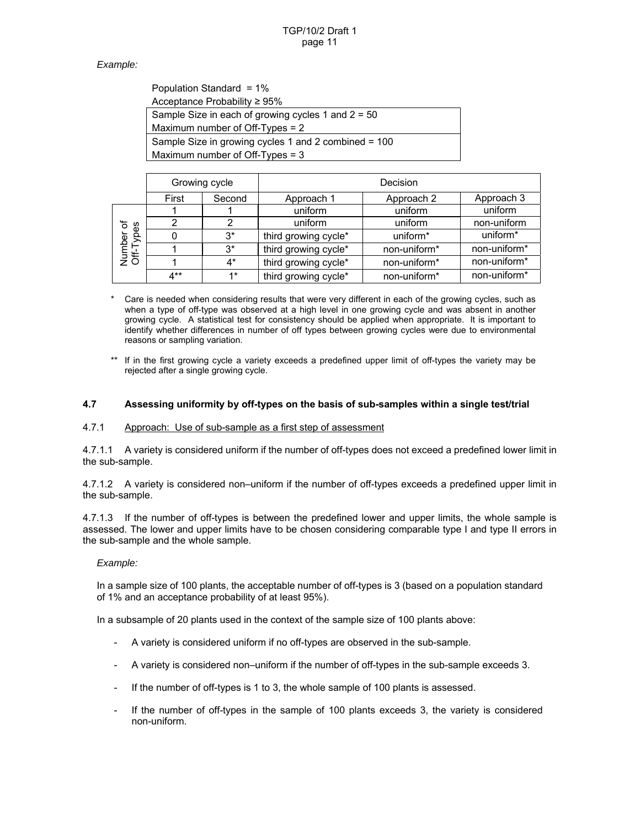# *Example:*

| Population Standard = 1%                             |
|------------------------------------------------------|
| Acceptance Probability $\geq 95\%$                   |
| Sample Size in each of growing cycles 1 and $2 = 50$ |
| Maximum number of Off-Types = 2                      |
| Sample Size in growing cycles 1 and 2 combined = 100 |
| Maximum number of Off-Types = $3$                    |

|                                   | Growing cycle |        |                      | Decision                 |                          |
|-----------------------------------|---------------|--------|----------------------|--------------------------|--------------------------|
|                                   | First         | Second | Approach 1           | Approach 2               | Approach 3               |
| ᡃᡃठ<br>ypes<br>Number<br>Off-Type |               |        | uniform              | uniform                  | uniform                  |
|                                   |               | າ      | uniform              | uniform                  | non-uniform              |
|                                   |               | $3^*$  | third growing cycle* | uniform <sup>*</sup>     | uniform <sup>*</sup>     |
|                                   |               | $3^*$  | third growing cycle* | non-uniform*             | non-uniform*             |
|                                   |               | $4^*$  | third growing cycle* | non-uniform <sup>*</sup> | non-uniform <sup>*</sup> |
|                                   | $4***$        | $1*$   | third growing cycle* | non-uniform*             | non-uniform <sup>*</sup> |

Care is needed when considering results that were very different in each of the growing cycles, such as when a type of off-type was observed at a high level in one growing cycle and was absent in another growing cycle. A statistical test for consistency should be applied when appropriate. It is important to identify whether differences in number of off types between growing cycles were due to environmental reasons or sampling variation.

\*\* If in the first growing cycle a variety exceeds a predefined upper limit of off-types the variety may be rejected after a single growing cycle.

#### **4.7 Assessing uniformity by off-types on the basis of sub-samples within a single test/trial**

## 4.7.1 Approach: Use of sub-sample as a first step of assessment

4.7.1.1 A variety is considered uniform if the number of off-types does not exceed a predefined lower limit in the sub-sample.

4.7.1.2 A variety is considered non–uniform if the number of off-types exceeds a predefined upper limit in the sub-sample.

4.7.1.3 If the number of off-types is between the predefined lower and upper limits, the whole sample is assessed. The lower and upper limits have to be chosen considering comparable type I and type II errors in the sub-sample and the whole sample.

#### *Example:*

In a sample size of 100 plants, the acceptable number of off-types is 3 (based on a population standard of 1% and an acceptance probability of at least 95%).

In a subsample of 20 plants used in the context of the sample size of 100 plants above:

- A variety is considered uniform if no off-types are observed in the sub-sample.
- A variety is considered non–uniform if the number of off-types in the sub-sample exceeds 3.
- If the number of off-types is 1 to 3, the whole sample of 100 plants is assessed.
- If the number of off-types in the sample of 100 plants exceeds 3, the variety is considered non-uniform.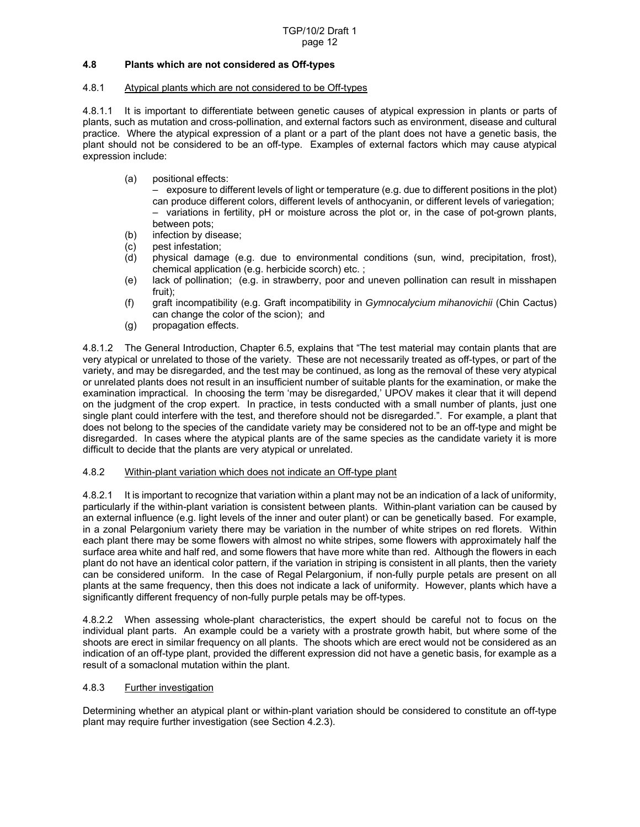# **4.8 Plants which are not considered as Off-types**

# 4.8.1 Atypical plants which are not considered to be Off-types

4.8.1.1 It is important to differentiate between genetic causes of atypical expression in plants or parts of plants, such as mutation and cross-pollination, and external factors such as environment, disease and cultural practice. Where the atypical expression of a plant or a part of the plant does not have a genetic basis, the plant should not be considered to be an off-type. Examples of external factors which may cause atypical expression include:

(a) positional effects:

 – exposure to different levels of light or temperature (e.g. due to different positions in the plot) can produce different colors, different levels of anthocyanin, or different levels of variegation; – variations in fertility, pH or moisture across the plot or, in the case of pot-grown plants, between pots;

- (b) infection by disease;
- (c) pest infestation;<br>(d) physical damag
- physical damage (e.g. due to environmental conditions (sun, wind, precipitation, frost), chemical application (e.g. herbicide scorch) etc. ;
- (e) lack of pollination; (e.g. in strawberry, poor and uneven pollination can result in misshapen fruit);
- (f) graft incompatibility (e.g. Graft incompatibility in *Gymnocalycium mihanovichii* (Chin Cactus) can change the color of the scion); and
- (g) propagation effects.

4.8.1.2 The General Introduction, Chapter 6.5, explains that "The test material may contain plants that are very atypical or unrelated to those of the variety. These are not necessarily treated as off-types, or part of the variety, and may be disregarded, and the test may be continued, as long as the removal of these very atypical or unrelated plants does not result in an insufficient number of suitable plants for the examination, or make the examination impractical. In choosing the term 'may be disregarded,' UPOV makes it clear that it will depend on the judgment of the crop expert. In practice, in tests conducted with a small number of plants, just one single plant could interfere with the test, and therefore should not be disregarded.". For example, a plant that does not belong to the species of the candidate variety may be considered not to be an off-type and might be disregarded. In cases where the atypical plants are of the same species as the candidate variety it is more difficult to decide that the plants are very atypical or unrelated.

#### 4.8.2 Within-plant variation which does not indicate an Off-type plant

4.8.2.1 It is important to recognize that variation within a plant may not be an indication of a lack of uniformity, particularly if the within-plant variation is consistent between plants. Within-plant variation can be caused by an external influence (e.g. light levels of the inner and outer plant) or can be genetically based. For example, in a zonal Pelargonium variety there may be variation in the number of white stripes on red florets. Within each plant there may be some flowers with almost no white stripes, some flowers with approximately half the surface area white and half red, and some flowers that have more white than red. Although the flowers in each plant do not have an identical color pattern, if the variation in striping is consistent in all plants, then the variety can be considered uniform. In the case of Regal Pelargonium, if non-fully purple petals are present on all plants at the same frequency, then this does not indicate a lack of uniformity. However, plants which have a significantly different frequency of non-fully purple petals may be off-types.

4.8.2.2 When assessing whole-plant characteristics, the expert should be careful not to focus on the individual plant parts. An example could be a variety with a prostrate growth habit, but where some of the shoots are erect in similar frequency on all plants. The shoots which are erect would not be considered as an indication of an off-type plant, provided the different expression did not have a genetic basis, for example as a result of a somaclonal mutation within the plant.

#### 4.8.3 Further investigation

Determining whether an atypical plant or within-plant variation should be considered to constitute an off-type plant may require further investigation (see Section 4.2.3).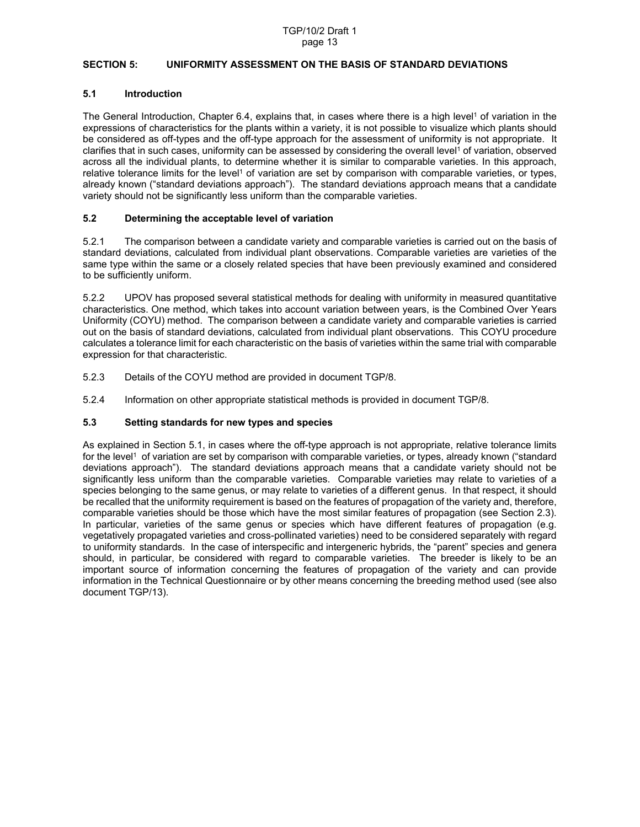# **SECTION 5: UNIFORMITY ASSESSMENT ON THE BASIS OF STANDARD DEVIATIONS**

# **5.1 Introduction**

The General Introduction, Chapter 6.4, explains that, in cases where there is a high level<sup>1</sup> of variation in the expressions of characteristics for the plants within a variety, it is not possible to visualize which plants should be considered as off-types and the off-type approach for the assessment of uniformity is not appropriate. It clarifies that in such cases, uniformity can be assessed by considering the overall level<sup>1</sup> of variation, observed across all the individual plants, to determine whether it is similar to comparable varieties. In this approach, relative tolerance limits for the level<sup>1</sup> of variation are set by comparison with comparable varieties, or types, already known ("standard deviations approach"). The standard deviations approach means that a candidate variety should not be significantly less uniform than the comparable varieties.

# **5.2 Determining the acceptable level of variation**

5.2.1 The comparison between a candidate variety and comparable varieties is carried out on the basis of standard deviations, calculated from individual plant observations. Comparable varieties are varieties of the same type within the same or a closely related species that have been previously examined and considered to be sufficiently uniform.

5.2.2 UPOV has proposed several statistical methods for dealing with uniformity in measured quantitative characteristics. One method, which takes into account variation between years, is the Combined Over Years Uniformity (COYU) method. The comparison between a candidate variety and comparable varieties is carried out on the basis of standard deviations, calculated from individual plant observations. This COYU procedure calculates a tolerance limit for each characteristic on the basis of varieties within the same trial with comparable expression for that characteristic.

- 5.2.3 Details of the COYU method are provided in document TGP/8.
- 5.2.4 Information on other appropriate statistical methods is provided in document TGP/8.

# **5.3 Setting standards for new types and species**

As explained in Section 5.1, in cases where the off-type approach is not appropriate, relative tolerance limits for the level<sup>1</sup> of variation are set by comparison with comparable varieties, or types, already known ("standard deviations approach"). The standard deviations approach means that a candidate variety should not be significantly less uniform than the comparable varieties. Comparable varieties may relate to varieties of a species belonging to the same genus, or may relate to varieties of a different genus. In that respect, it should be recalled that the uniformity requirement is based on the features of propagation of the variety and, therefore, comparable varieties should be those which have the most similar features of propagation (see Section 2.3). In particular, varieties of the same genus or species which have different features of propagation (e.g. vegetatively propagated varieties and cross-pollinated varieties) need to be considered separately with regard to uniformity standards. In the case of interspecific and intergeneric hybrids, the "parent" species and genera should, in particular, be considered with regard to comparable varieties. The breeder is likely to be an important source of information concerning the features of propagation of the variety and can provide information in the Technical Questionnaire or by other means concerning the breeding method used (see also document TGP/13).